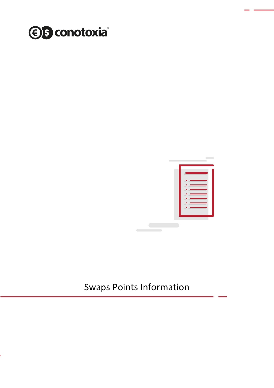



## Swaps Points Information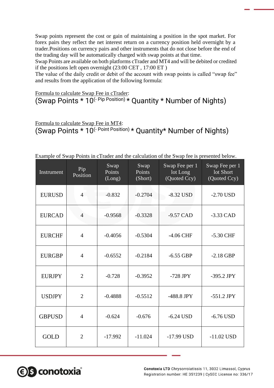Swap points represent the cost or gain of maintaining a position in the spot market. For forex pairs they reflect the net interest return on a currency position held overnight by a trader.Positions on currency pairs and other instruments that do not close before the end of the trading day will be automatically charged with swap points at that time.

Swap Points are available on both platforms cTrader and MT4 and will be debited or credited if the positions left open overnight (23:00 CET , 17:00 ET )

The value of the daily credit or debit of the account with swap points is called "swap fee" and results from the application of the following formula:

Formula to calculate Swap Fee in cTrader: (Swap Points  $* 10$ <sup>(- Pip Position)</sup>  $*$  Quantity  $*$  Number of Nights)

Formula to calculate Swap Fee in MT4: (Swap Points \* 10(- Point Position) \* Quantity\* Number of Nights)

|  |  |  |  | Example of Swap Points in cTrader and the calculation of the Swap fee is presented below. |
|--|--|--|--|-------------------------------------------------------------------------------------------|
|  |  |  |  |                                                                                           |

| Instrument    | Pip<br>Position | Swap<br>Points<br>(Long) | Swap<br>Points<br>(Short) | Swap Fee per 1<br>lot Long<br>(Quoted Ccy) | Swap Fee per 1<br>lot Short<br>(Quoted Ccy) |
|---------------|-----------------|--------------------------|---------------------------|--------------------------------------------|---------------------------------------------|
| <b>EURUSD</b> | $\overline{4}$  | $-0.832$                 | $-0.2704$                 | $-8.32$ USD                                | $-2.70$ USD                                 |
| <b>EURCAD</b> | $\overline{4}$  | $-0.9568$                | $-0.3328$                 | $-9.57$ CAD                                | $-3.33$ CAD                                 |
| <b>EURCHF</b> | $\overline{4}$  | $-0.4056$                | $-0.5304$                 | $-4.06$ CHF                                | $-5.30$ CHF                                 |
| <b>EURGBP</b> | 4               | $-0.6552$                | $-0.2184$                 | $-6.55$ GBP                                | $-2.18$ GBP                                 |
| <b>EURJPY</b> | $\overline{2}$  | $-0.728$                 | $-0.3952$                 | $-728$ JPY                                 | -395.2 JPY                                  |
| <b>USDJPY</b> | $\overline{2}$  | $-0.4888$                | $-0.5512$                 | $-488.8$ JPY                               | $-551.2$ JPY                                |
| <b>GBPUSD</b> | $\overline{4}$  | $-0.624$                 | $-0.676$                  | $-6.24$ USD                                | $-6.76$ USD                                 |
| <b>GOLD</b>   | $\overline{2}$  | $-17.992$                | $-11.024$                 | $-17.99$ USD                               | $-11.02$ USD                                |

**€ S** conotoxia®